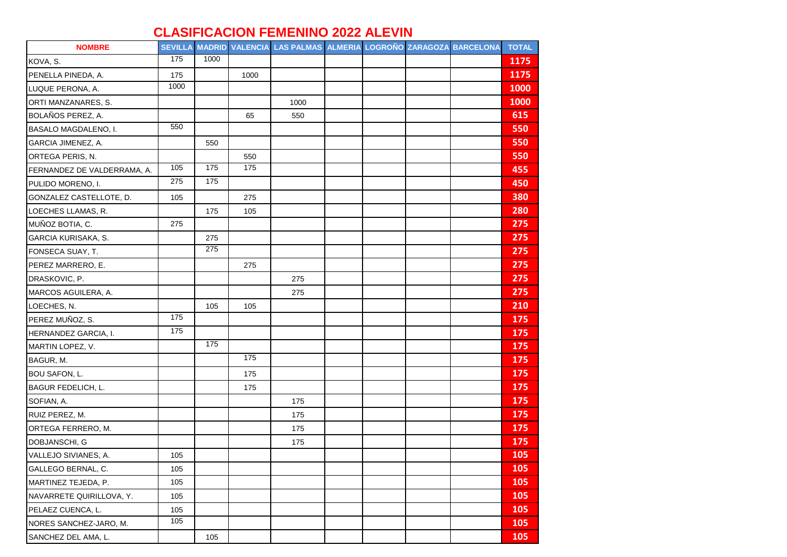## **CLASIFICACION FEMENINO 2022 ALEVIN**

| <b>NOMBRE</b>               |      |      |      | SEVILLA MADRID VALENCIA LAS PALMAS ALMERIA LOGROÑO ZARAGOZA BARCELONA |  |  | <b>TOTAL</b> |
|-----------------------------|------|------|------|-----------------------------------------------------------------------|--|--|--------------|
| KOVA, S.                    | 175  | 1000 |      |                                                                       |  |  | 1175         |
| PENELLA PINEDA, A.          | 175  |      | 1000 |                                                                       |  |  | 1175         |
| LUQUE PERONA, A.            | 1000 |      |      |                                                                       |  |  | 1000         |
| ORTI MANZANARES, S.         |      |      |      | 1000                                                                  |  |  | 1000         |
| BOLAÑOS PEREZ, A.           |      |      | 65   | 550                                                                   |  |  | 615          |
| BASALO MAGDALENO, I.        | 550  |      |      |                                                                       |  |  | 550          |
| GARCIA JIMENEZ, A.          |      | 550  |      |                                                                       |  |  | 550          |
| ORTEGA PERIS, N.            |      |      | 550  |                                                                       |  |  | 550          |
| FERNANDEZ DE VALDERRAMA, A. | 105  | 175  | 175  |                                                                       |  |  | 455          |
| PULIDO MORENO, I.           | 275  | 175  |      |                                                                       |  |  | 450          |
| GONZALEZ CASTELLOTE, D.     | 105  |      | 275  |                                                                       |  |  | 380          |
| LOECHES LLAMAS, R.          |      | 175  | 105  |                                                                       |  |  | 280          |
| MUÑOZ BOTIA, C.             | 275  |      |      |                                                                       |  |  | 275          |
| GARCIA KURISAKA, S.         |      | 275  |      |                                                                       |  |  | 275          |
| FONSECA SUAY, T.            |      | 275  |      |                                                                       |  |  | 275          |
| PEREZ MARRERO, E.           |      |      | 275  |                                                                       |  |  | 275          |
| DRASKOVIC, P.               |      |      |      | 275                                                                   |  |  | 275          |
| MARCOS AGUILERA, A.         |      |      |      | 275                                                                   |  |  | 275          |
| LOECHES, N.                 |      | 105  | 105  |                                                                       |  |  | 210          |
| PEREZ MUÑOZ, S.             | 175  |      |      |                                                                       |  |  | 175          |
| HERNANDEZ GARCIA, I.        | 175  |      |      |                                                                       |  |  | 175          |
| MARTIN LOPEZ, V.            |      | 175  |      |                                                                       |  |  | 175          |
| BAGUR, M.                   |      |      | 175  |                                                                       |  |  | 175          |
| <b>BOU SAFON, L.</b>        |      |      | 175  |                                                                       |  |  | 175          |
| <b>BAGUR FEDELICH, L.</b>   |      |      | 175  |                                                                       |  |  | 175          |
| SOFIAN, A.                  |      |      |      | 175                                                                   |  |  | 175          |
| RUIZ PEREZ, M.              |      |      |      | 175                                                                   |  |  | 175          |
| ORTEGA FERRERO, M.          |      |      |      | 175                                                                   |  |  | 175          |
| DOBJANSCHI, G               |      |      |      | 175                                                                   |  |  | 175          |
| VALLEJO SIVIANES, A.        | 105  |      |      |                                                                       |  |  | 105          |
| GALLEGO BERNAL, C.          | 105  |      |      |                                                                       |  |  | 105          |
| MARTINEZ TEJEDA, P.         | 105  |      |      |                                                                       |  |  | 105          |
| NAVARRETE QUIRILLOVA, Y.    | 105  |      |      |                                                                       |  |  | 105          |
| PELAEZ CUENCA, L.           | 105  |      |      |                                                                       |  |  | 105          |
| NORES SANCHEZ-JARO, M.      | 105  |      |      |                                                                       |  |  | 105          |
| SANCHEZ DEL AMA, L.         |      | 105  |      |                                                                       |  |  | 105          |